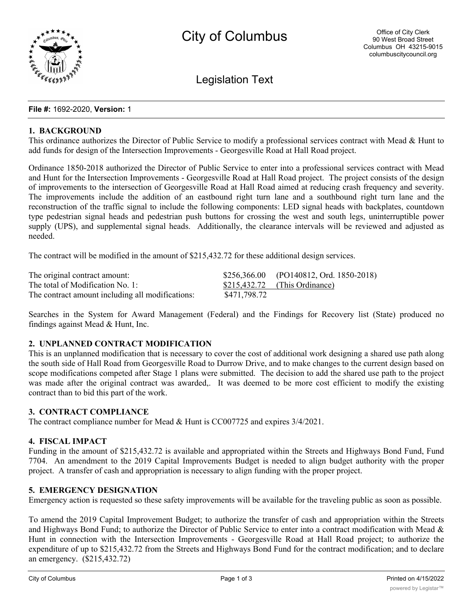

Legislation Text

#### **File #:** 1692-2020, **Version:** 1

### **1. BACKGROUND**

This ordinance authorizes the Director of Public Service to modify a professional services contract with Mead & Hunt to add funds for design of the Intersection Improvements - Georgesville Road at Hall Road project.

Ordinance 1850-2018 authorized the Director of Public Service to enter into a professional services contract with Mead and Hunt for the Intersection Improvements - Georgesville Road at Hall Road project. The project consists of the design of improvements to the intersection of Georgesville Road at Hall Road aimed at reducing crash frequency and severity. The improvements include the addition of an eastbound right turn lane and a southbound right turn lane and the reconstruction of the traffic signal to include the following components: LED signal heads with backplates, countdown type pedestrian signal heads and pedestrian push buttons for crossing the west and south legs, uninterruptible power supply (UPS), and supplemental signal heads. Additionally, the clearance intervals will be reviewed and adjusted as needed.

The contract will be modified in the amount of \$215,432.72 for these additional design services.

| The original contract amount:                    |              | $$256,366.00$ (PO140812, Ord. 1850-2018) |
|--------------------------------------------------|--------------|------------------------------------------|
| The total of Modification No. 1:                 |              | $$215,432.72$ (This Ordinance)           |
| The contract amount including all modifications: | \$471,798.72 |                                          |

Searches in the System for Award Management (Federal) and the Findings for Recovery list (State) produced no findings against Mead & Hunt, Inc.

# **2. UNPLANNED CONTRACT MODIFICATION**

This is an unplanned modification that is necessary to cover the cost of additional work designing a shared use path along the south side of Hall Road from Georgesville Road to Durrow Drive, and to make changes to the current design based on scope modifications competed after Stage 1 plans were submitted. The decision to add the shared use path to the project was made after the original contract was awarded,. It was deemed to be more cost efficient to modify the existing contract than to bid this part of the work.

## **3. CONTRACT COMPLIANCE**

The contract compliance number for Mead & Hunt is CC007725 and expires 3/4/2021.

#### **4. FISCAL IMPACT**

Funding in the amount of \$215,432.72 is available and appropriated within the Streets and Highways Bond Fund, Fund 7704. An amendment to the 2019 Capital Improvements Budget is needed to align budget authority with the proper project. A transfer of cash and appropriation is necessary to align funding with the proper project.

## **5. EMERGENCY DESIGNATION**

Emergency action is requested so these safety improvements will be available for the traveling public as soon as possible.

To amend the 2019 Capital Improvement Budget; to authorize the transfer of cash and appropriation within the Streets and Highways Bond Fund; to authorize the Director of Public Service to enter into a contract modification with Mead  $\&$ Hunt in connection with the Intersection Improvements - Georgesville Road at Hall Road project; to authorize the expenditure of up to \$215,432.72 from the Streets and Highways Bond Fund for the contract modification; and to declare an emergency. (\$215,432.72)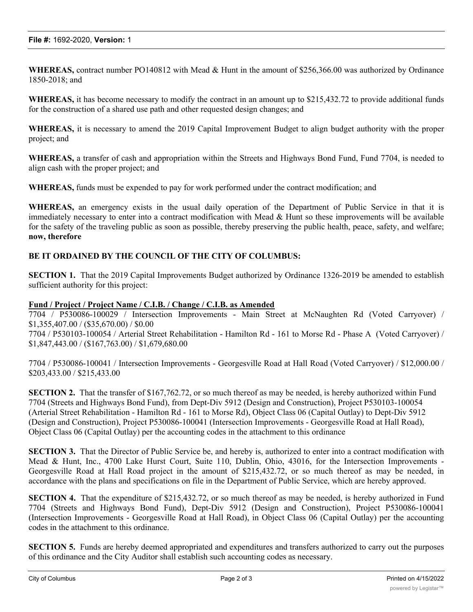**WHEREAS,** contract number PO140812 with Mead & Hunt in the amount of \$256,366.00 was authorized by Ordinance 1850-2018; and

**WHEREAS,** it has become necessary to modify the contract in an amount up to \$215,432.72 to provide additional funds for the construction of a shared use path and other requested design changes; and

**WHEREAS,** it is necessary to amend the 2019 Capital Improvement Budget to align budget authority with the proper project; and

**WHEREAS,** a transfer of cash and appropriation within the Streets and Highways Bond Fund, Fund 7704, is needed to align cash with the proper project; and

**WHEREAS,** funds must be expended to pay for work performed under the contract modification; and

**WHEREAS,** an emergency exists in the usual daily operation of the Department of Public Service in that it is immediately necessary to enter into a contract modification with Mead & Hunt so these improvements will be available for the safety of the traveling public as soon as possible, thereby preserving the public health, peace, safety, and welfare; **now, therefore**

## **BE IT ORDAINED BY THE COUNCIL OF THE CITY OF COLUMBUS:**

**SECTION 1.** That the 2019 Capital Improvements Budget authorized by Ordinance 1326-2019 be amended to establish sufficient authority for this project:

### **Fund / Project / Project Name / C.I.B. / Change / C.I.B. as Amended**

7704 / P530086-100029 / Intersection Improvements - Main Street at McNaughten Rd (Voted Carryover) / \$1,355,407.00 / (\$35,670.00) / \$0.00

7704 / P530103-100054 / Arterial Street Rehabilitation - Hamilton Rd - 161 to Morse Rd - Phase A (Voted Carryover) / \$1,847,443.00 / (\$167,763.00) / \$1,679,680.00

7704 / P530086-100041 / Intersection Improvements - Georgesville Road at Hall Road (Voted Carryover) / \$12,000.00 / \$203,433.00 / \$215,433.00

**SECTION 2.** That the transfer of \$167,762.72, or so much thereof as may be needed, is hereby authorized within Fund 7704 (Streets and Highways Bond Fund), from Dept-Div 5912 (Design and Construction), Project P530103-100054 (Arterial Street Rehabilitation - Hamilton Rd - 161 to Morse Rd), Object Class 06 (Capital Outlay) to Dept-Div 5912 (Design and Construction), Project P530086-100041 (Intersection Improvements - Georgesville Road at Hall Road), Object Class 06 (Capital Outlay) per the accounting codes in the attachment to this ordinance

**SECTION 3.** That the Director of Public Service be, and hereby is, authorized to enter into a contract modification with Mead & Hunt, Inc., 4700 Lake Hurst Court, Suite 110, Dublin, Ohio, 43016, for the Intersection Improvements - Georgesville Road at Hall Road project in the amount of \$215,432.72, or so much thereof as may be needed, in accordance with the plans and specifications on file in the Department of Public Service, which are hereby approved.

**SECTION 4.** That the expenditure of \$215,432.72, or so much thereof as may be needed, is hereby authorized in Fund 7704 (Streets and Highways Bond Fund), Dept-Div 5912 (Design and Construction), Project P530086-100041 (Intersection Improvements - Georgesville Road at Hall Road), in Object Class 06 (Capital Outlay) per the accounting codes in the attachment to this ordinance.

**SECTION 5.** Funds are hereby deemed appropriated and expenditures and transfers authorized to carry out the purposes of this ordinance and the City Auditor shall establish such accounting codes as necessary.